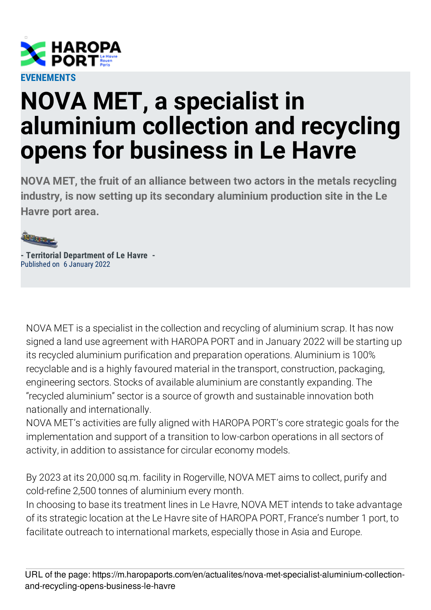

## **NOVA MET, a specialist in aluminium collection and recycling opens for business in Le Havre**

**NOVA MET, the fruit of an alliance between two actors in the metals recycling industry, is now setting up its secondary aluminium production site in the Le Havre port area.**



**- Territorial Department of Le Havre -** Published on 6 January 2022

NOVA MET is a specialist in the collection and recycling of aluminium scrap. It has now signed a land use agreement with HAROPA PORT and in January 2022 will be starting up its recycled aluminium purification and preparation operations. Aluminium is 100% recyclable and is a highly favoured material in the transport, construction, packaging, engineering sectors. Stocks of available aluminium are constantly expanding. The "recycled aluminium" sector is a source of growth and sustainable innovation both nationally and internationally.

NOVA MET's activities are fully aligned with HAROPA PORT's core strategic goals for the implementation and support of a transition to low-carbon operations in all sectors of activity, in addition to assistance for circular economy models.

By 2023 at its 20,000 sq.m. facility in Rogerville, NOVA MET aims to collect, purify and cold-refine 2,500 tonnes of aluminium every month.

In choosing to base its treatment lines in Le Havre, NOVA MET intends to take advantage of its strategic location at the Le Havre site of HAROPA PORT, France's number 1 port, to facilitate outreach to international markets, especially those in Asia and Europe.